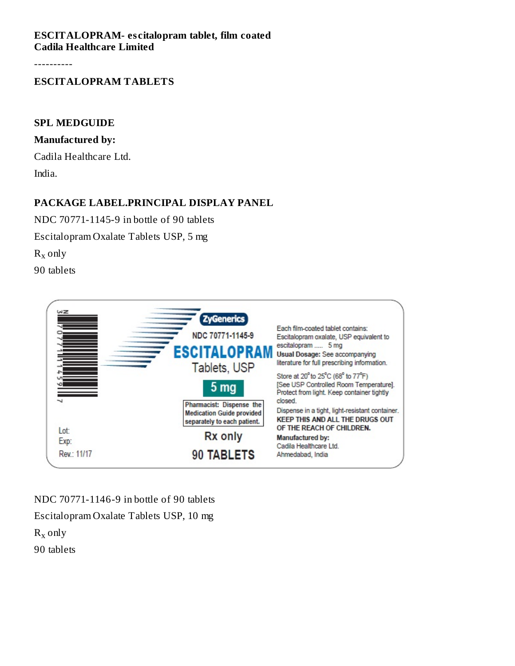#### **ESCITALOPRAM- es citalopram tablet, film coated Cadila Healthcare Limited**

----------

### **ESCITALOPRAM TABLETS**

#### **SPL MEDGUIDE**

#### **Manufactured by:**

Cadila Healthcare Ltd. India.

## **PACKAGE LABEL.PRINCIPAL DISPLAY PANEL**

NDC 70771-1145-9 in bottle of 90 tablets

Escitalopram Oxalate Tablets USP, 5 mg

 $R_x$  only

90 tablets



NDC 70771-1146-9 in bottle of 90 tablets

Escitalopram Oxalate Tablets USP, 10 mg

 $R_x$  only

90 tablets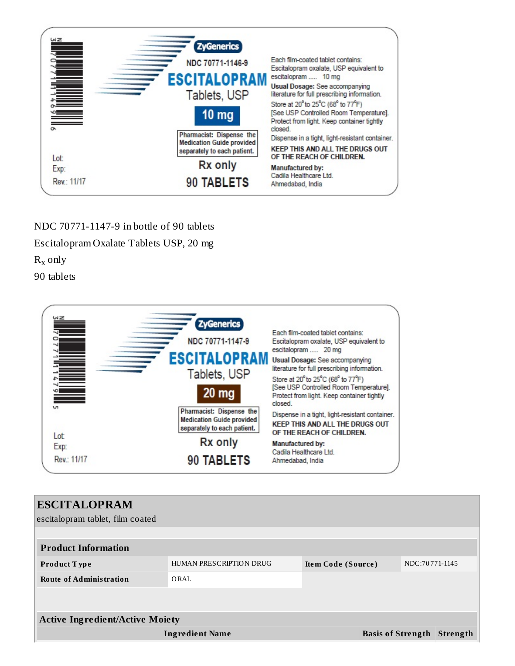

# NDC 70771-1147-9 in bottle of 90 tablets

Escitalopram Oxalate Tablets USP, 20 mg

 $R_x$  only

90 tablets



| <b>ESCITALOPRAM</b><br>escitalopram tablet, film coated |                         |                    |  |                |                                   |
|---------------------------------------------------------|-------------------------|--------------------|--|----------------|-----------------------------------|
| <b>Product Information</b>                              |                         |                    |  |                |                                   |
| <b>Product Type</b>                                     | HUMAN PRESCRIPTION DRUG | Item Code (Source) |  | NDC:70771-1145 |                                   |
| <b>Route of Administration</b>                          | ORAL                    |                    |  |                |                                   |
|                                                         |                         |                    |  |                |                                   |
| <b>Active Ingredient/Active Moiety</b>                  |                         |                    |  |                |                                   |
|                                                         | <b>Ingredient Name</b>  |                    |  |                | <b>Basis of Strength Strength</b> |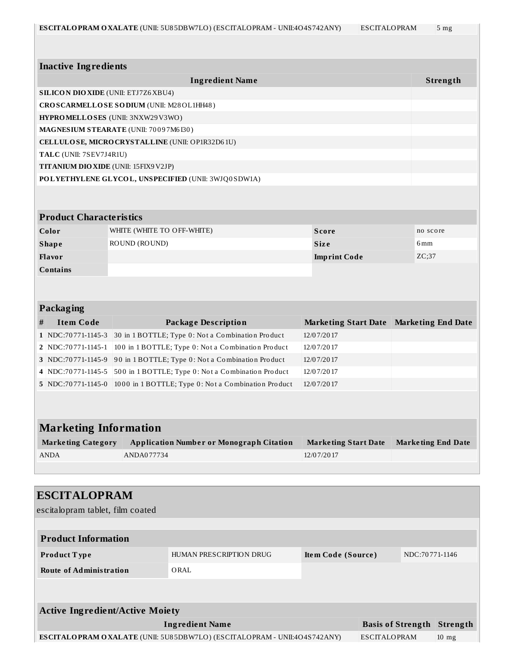**Inactive Ingredients**

**Ingredient Name Strength**

| <b>SILICON DIO XIDE (UNII: ETJ7Z6 XBU4)</b>                                                     |                            |                                                     |                             |  |                                   |                |  |
|-------------------------------------------------------------------------------------------------|----------------------------|-----------------------------------------------------|-----------------------------|--|-----------------------------------|----------------|--|
| CROSCARMELLOSE SODIUM (UNII: M28OL1HH48)                                                        |                            |                                                     |                             |  |                                   |                |  |
| HYPROMELLOSES (UNII: 3NXW29V3WO)                                                                |                            |                                                     |                             |  |                                   |                |  |
| MAGNESIUM STEARATE (UNII: 70097M6I30)                                                           |                            |                                                     |                             |  |                                   |                |  |
| CELLULOSE, MICRO CRYSTALLINE (UNII: OP1R32D61U)                                                 |                            |                                                     |                             |  |                                   |                |  |
| TALC (UNII: 7SEV7J4R1U)                                                                         |                            |                                                     |                             |  |                                   |                |  |
| TITANIUM DIO XIDE (UNII: 15FIX9V2JP)                                                            |                            |                                                     |                             |  |                                   |                |  |
|                                                                                                 |                            | POLYETHYLENE GLYCOL, UNSPECIFIED (UNII: 3WJQ0SDW1A) |                             |  |                                   |                |  |
|                                                                                                 |                            |                                                     |                             |  |                                   |                |  |
| <b>Product Characteristics</b>                                                                  |                            |                                                     |                             |  |                                   |                |  |
| Color                                                                                           | WHITE (WHITE TO OFF-WHITE) |                                                     | <b>Score</b>                |  | no score                          |                |  |
| <b>Shape</b>                                                                                    | ROUND (ROUND)              |                                                     | <b>Size</b>                 |  | 6 <sub>mm</sub>                   |                |  |
| Flavor                                                                                          |                            |                                                     | <b>Imprint Code</b>         |  | ZC;37                             |                |  |
| Contains                                                                                        |                            |                                                     |                             |  |                                   |                |  |
| Packaging                                                                                       |                            |                                                     |                             |  |                                   |                |  |
| <b>Item Code</b><br>#                                                                           |                            | <b>Package Description</b>                          | <b>Marketing Start Date</b> |  | <b>Marketing End Date</b>         |                |  |
| 1 NDC:70771-1145-3                                                                              |                            | 30 in 1 BOTTLE; Type 0: Not a Combination Product   | 12/07/2017                  |  |                                   |                |  |
| 2   NDC:70771-1145-1                                                                            |                            | 100 in 1 BOTTLE; Type 0: Not a Combination Product  | 12/07/2017                  |  |                                   |                |  |
| 3 NDC:70771-1145-9                                                                              |                            | 90 in 1 BOTTLE; Type 0: Not a Combination Product   | 12/07/2017                  |  |                                   |                |  |
| 4 NDC:70771-1145-5                                                                              |                            | 500 in 1 BOTTLE; Type 0: Not a Combination Product  | 12/07/2017                  |  |                                   |                |  |
| 5 NDC:70771-1145-0                                                                              |                            | 1000 in 1 BOTTLE; Type 0: Not a Combination Product | 12/07/2017                  |  |                                   |                |  |
| <b>Marketing Information</b>                                                                    |                            |                                                     |                             |  |                                   |                |  |
| <b>Marketing Category</b>                                                                       |                            | <b>Application Number or Monograph Citation</b>     | <b>Marketing Start Date</b> |  | <b>Marketing End Date</b>         |                |  |
| <b>ANDA</b>                                                                                     | ANDA077734                 |                                                     | 12/07/2017                  |  |                                   |                |  |
|                                                                                                 |                            |                                                     |                             |  |                                   |                |  |
| <b>ESCITALOPRAM</b><br>escitalopram tablet, film coated                                         |                            |                                                     |                             |  |                                   |                |  |
| <b>Product Information</b>                                                                      |                            |                                                     |                             |  |                                   |                |  |
| Product Type                                                                                    |                            | HUMAN PRESCRIPTION DRUG                             | Item Code (Source)          |  |                                   | NDC:70771-1146 |  |
| <b>Route of Administration</b>                                                                  |                            | ORAL                                                |                             |  |                                   |                |  |
|                                                                                                 |                            |                                                     |                             |  |                                   |                |  |
| <b>Active Ingredient/Active Moiety</b>                                                          |                            |                                                     |                             |  |                                   |                |  |
| <b>Ingredient Name</b>                                                                          |                            |                                                     |                             |  | <b>Basis of Strength Strength</b> |                |  |
| ESCITALOPRAM OXALATE (UNII: 5U85DBW7LO) (ESCITALOPRAM - UNII:4O4S742ANY)<br><b>ESCITALOPRAM</b> |                            |                                                     |                             |  | $10$ mg                           |                |  |
|                                                                                                 |                            |                                                     |                             |  |                                   |                |  |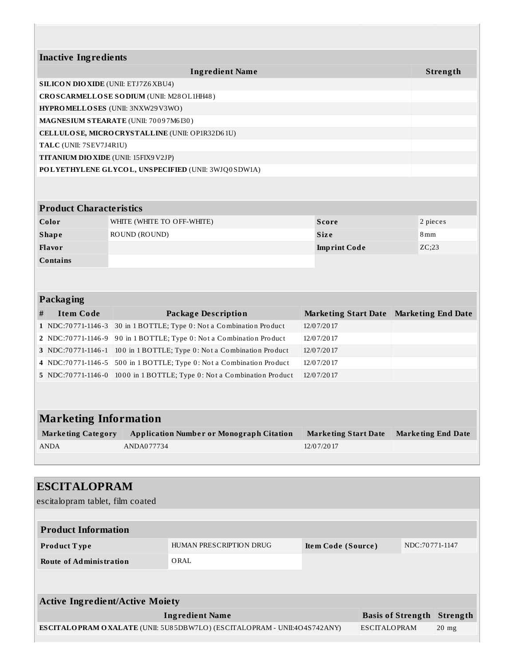|                              | <b>Inactive Ingredients</b>    |                                                     |            |                             |     |                           |  |
|------------------------------|--------------------------------|-----------------------------------------------------|------------|-----------------------------|-----|---------------------------|--|
|                              |                                | <b>Ingredient Name</b>                              |            |                             |     | Strength                  |  |
|                              |                                | <b>SILICON DIO XIDE (UNII: ETJ7Z6 XBU4)</b>         |            |                             |     |                           |  |
|                              |                                | CROSCARMELLOSE SODIUM (UNII: M28OL1HH48)            |            |                             |     |                           |  |
|                              |                                | <b>HYPROMELLOSES</b> (UNII: 3NXW29V3WO)             |            |                             |     |                           |  |
|                              |                                | MAGNESIUM STEARATE (UNII: 70097M6I30)               |            |                             |     |                           |  |
|                              |                                | CELLULOSE, MICRO CRYSTALLINE (UNII: OP1R32D61U)     |            |                             |     |                           |  |
|                              | TALC (UNII: 7SEV7J4R1U)        |                                                     |            |                             |     |                           |  |
|                              |                                | TITANIUM DIO XIDE (UNII: 15FIX9 V2JP)               |            |                             |     |                           |  |
|                              |                                | POLYETHYLENE GLYCOL, UNSPECIFIED (UNII: 3WJQ0SDW1A) |            |                             |     |                           |  |
|                              |                                |                                                     |            |                             |     |                           |  |
|                              |                                |                                                     |            |                             |     |                           |  |
|                              | <b>Product Characteristics</b> |                                                     |            |                             |     |                           |  |
|                              | Color                          | WHITE (WHITE TO OFF-WHITE)                          |            | <b>Score</b>                |     | 2 pieces                  |  |
|                              | <b>Shape</b>                   | ROUND (ROUND)                                       |            | <b>Size</b>                 | 8mm |                           |  |
| Flavor                       |                                |                                                     |            | <b>Imprint Code</b>         |     | ZC;23                     |  |
| <b>Contains</b>              |                                |                                                     |            |                             |     |                           |  |
|                              |                                |                                                     |            |                             |     |                           |  |
|                              |                                |                                                     |            |                             |     |                           |  |
|                              | Packaging                      |                                                     |            |                             |     |                           |  |
| #                            | <b>Item Code</b>               | <b>Package Description</b>                          |            | <b>Marketing Start Date</b> |     | <b>Marketing End Date</b> |  |
|                              | 1   NDC:70771-1146-3           | 30 in 1 BOTTLE; Type 0: Not a Combination Product   |            | 12/07/2017                  |     |                           |  |
|                              | 2   NDC:70771-1146-9           | 90 in 1 BOTTLE; Type 0: Not a Combination Product   |            | 12/07/2017                  |     |                           |  |
|                              | 3 NDC:70771-1146-1             | 100 in 1 BOTTLE; Type 0: Not a Combination Product  |            | 12/07/2017                  |     |                           |  |
|                              | 4 NDC:70771-1146-5             | 500 in 1 BOTTLE; Type 0: Not a Combination Product  |            | 12/07/2017                  |     |                           |  |
|                              | 5   NDC:70771-1146-0           | 1000 in 1 BOTTLE; Type 0: Not a Combination Product | 12/07/2017 |                             |     |                           |  |
|                              |                                |                                                     |            |                             |     |                           |  |
|                              |                                |                                                     |            |                             |     |                           |  |
| <b>Marketing Information</b> |                                |                                                     |            |                             |     |                           |  |
|                              | <b>Marketing Category</b>      | <b>Application Number or Monograph Citation</b>     |            | <b>Marketing Start Date</b> |     | <b>Marketing End Date</b> |  |
|                              |                                |                                                     |            |                             |     |                           |  |

| <b>ANDA</b>         | ANDA077734 | 12/07/2017 |  |  |
|---------------------|------------|------------|--|--|
|                     |            |            |  |  |
|                     |            |            |  |  |
| <b>ESCITALOPRAM</b> |            |            |  |  |

| escitalopram tablet, film coated       |                                                                          |                    |                          |                |          |
|----------------------------------------|--------------------------------------------------------------------------|--------------------|--------------------------|----------------|----------|
|                                        |                                                                          |                    |                          |                |          |
| <b>Product Information</b>             |                                                                          |                    |                          |                |          |
| <b>Product Type</b>                    | HUMAN PRESCRIPTION DRUG                                                  | Item Code (Source) |                          | NDC:70771-1147 |          |
| <b>Route of Administration</b>         | ORAL                                                                     |                    |                          |                |          |
|                                        |                                                                          |                    |                          |                |          |
|                                        |                                                                          |                    |                          |                |          |
| <b>Active Ingredient/Active Moiety</b> |                                                                          |                    |                          |                |          |
|                                        | <b>Ingredient Name</b>                                                   |                    | <b>Basis of Strength</b> |                | Strength |
|                                        | ESCITALOPRAM OXALATE (UNII: 5U85DBW7LO) (ESCITALOPRAM - UNII:4O4S742ANY) |                    | <b>ESCITALOPRAM</b>      |                | $20$ mg  |
|                                        |                                                                          |                    |                          |                |          |